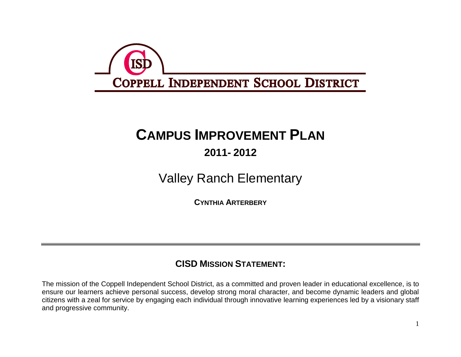

# **CAMPUS IMPROVEMENT PLAN**

## **2011- 2012**

Valley Ranch Elementary

**CYNTHIA ARTERBERY**

### **CISD MISSION STATEMENT:**

The mission of the Coppell Independent School District, as a committed and proven leader in educational excellence, is to ensure our learners achieve personal success, develop strong moral character, and become dynamic leaders and global citizens with a zeal for service by engaging each individual through innovative learning experiences led by a visionary staff and progressive community.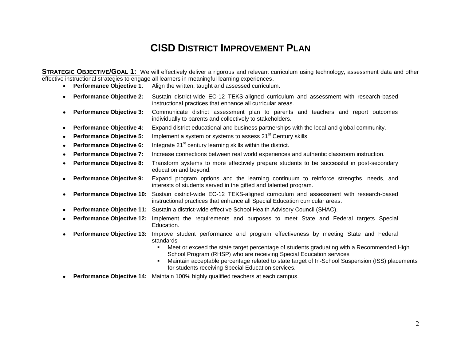## **CISD DISTRICT IMPROVEMENT PLAN**

**STRATEGIC OBJECTIVE/GOAL 1:** We will effectively deliver a rigorous and relevant curriculum using technology, assessment data and other effective instructional strategies to engage all learners in meaningful learning experiences.

- **Performance Objective 1**: Align the written, taught and assessed curriculum.
- **Performance Objective 2:** Sustain district-wide EC-12 TEKS-aligned curriculum and assessment with research-based instructional practices that enhance all curricular areas.
- **Performance Objective 3:** Communicate district assessment plan to parents and teachers and report outcomes individually to parents and collectively to stakeholders.
- **Performance Objective 4:** Expand district educational and business partnerships with the local and global community.
- **Performance Objective 5:** Implement a system or systems to assess 21<sup>st</sup> Century skills.
- **Performance Objective 6:** Integrate 21<sup>st</sup> century learning skills within the district.
- **Performance Objective 7:** Increase connections between real world experiences and authentic classroom instruction.
- **Performance Objective 8:** Transform systems to more effectively prepare students to be successful in post-secondary education and beyond.
- **Performance Objective 9:** Expand program options and the learning continuum to reinforce strengths, needs, and interests of students served in the gifted and talented program.
- **Performance Objective 10:** Sustain district-wide EC-12 TEKS-aligned curriculum and assessment with research-based instructional practices that enhance all Special Education curricular areas.
- **Performance Objective 11:** Sustain a district-wide effective School Health Advisory Council (SHAC).
- **Performance Objective 12:** Implement the requirements and purposes to meet State and Federal targets Special Education.
- **Performance Objective 13:** Improve student performance and program effectiveness by meeting State and Federal standards
	- Meet or exceed the state target percentage of students graduating with a Recommended High School Program (RHSP) who are receiving Special Education services
	- Maintain acceptable percentage related to state target of In-School Suspension (ISS) placements for students receiving Special Education services.
- **Performance Objective 14:** Maintain 100% highly qualified teachers at each campus.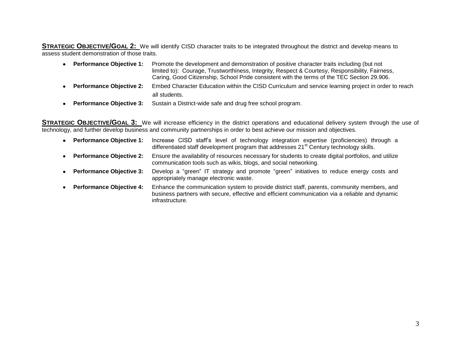**STRATEGIC OBJECTIVE/GOAL 2:** We will identify CISD character traits to be integrated throughout the district and develop means to assess student demonstration of those traits.

|           | • Performance Objective 1:      | Promote the development and demonstration of positive character traits including (but not<br>limited to): Courage, Trustworthiness, Integrity, Respect & Courtesy, Responsibility, Fairness,<br>Caring, Good Citizenship, School Pride consistent with the terms of the TEC Section 29.906. |
|-----------|---------------------------------|---------------------------------------------------------------------------------------------------------------------------------------------------------------------------------------------------------------------------------------------------------------------------------------------|
| $\bullet$ | <b>Performance Objective 2:</b> | Embed Character Education within the CISD Curriculum and service learning project in order to reach<br>all students.                                                                                                                                                                        |

**Performance Objective 3:** Sustain a District-wide safe and drug free school program.

**STRATEGIC OBJECTIVE/GOAL 3:** We will increase efficiency in the district operations and educational delivery system through the use of technology, and further develop business and community partnerships in order to best achieve our mission and objectives.

|           | • Performance Objective 1:      | Increase CISD staff's level of technology integration expertise (proficiencies) through a<br>differentiated staff development program that addresses 21 <sup>st</sup> Century technology skills.                  |
|-----------|---------------------------------|-------------------------------------------------------------------------------------------------------------------------------------------------------------------------------------------------------------------|
|           | • Performance Objective 2:      | Ensure the availability of resources necessary for students to create digital portfolios, and utilize<br>communication tools such as wikis, blogs, and social networking.                                         |
|           | • Performance Objective 3:      | Develop a "green" IT strategy and promote "green" initiatives to reduce energy costs and<br>appropriately manage electronic waste.                                                                                |
| $\bullet$ | <b>Performance Objective 4:</b> | Enhance the communication system to provide district staff, parents, community members, and<br>business partners with secure, effective and efficient communication via a reliable and dynamic<br>infrastructure. |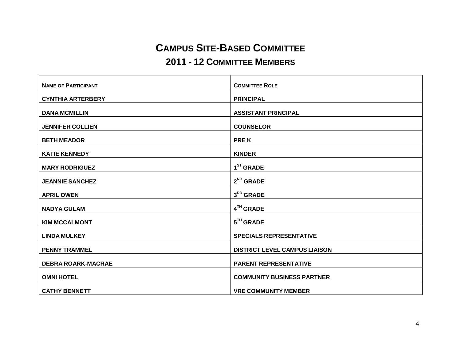## **CAMPUS SITE-BASED COMMITTEE**

#### **2011 - 12 COMMITTEE MEMBERS**

| <b>NAME OF PARTICIPANT</b> | <b>COMMITTEE ROLE</b>                |
|----------------------------|--------------------------------------|
| <b>CYNTHIA ARTERBERY</b>   | <b>PRINCIPAL</b>                     |
|                            |                                      |
| <b>DANA MCMILLIN</b>       | <b>ASSISTANT PRINCIPAL</b>           |
| <b>JENNIFER COLLIEN</b>    | <b>COUNSELOR</b>                     |
| <b>BETH MEADOR</b>         | <b>PREK</b>                          |
| <b>KATIE KENNEDY</b>       | <b>KINDER</b>                        |
| <b>MARY RODRIGUEZ</b>      | $1ST$ GRADE                          |
| <b>JEANNIE SANCHEZ</b>     | $2^{ND}$ GRADE                       |
| <b>APRIL OWEN</b>          | $3RD$ GRADE                          |
| <b>NADYA GULAM</b>         | 4TH GRADE                            |
| <b>KIM MCCALMONT</b>       | $5TH$ GRADE                          |
| <b>LINDA MULKEY</b>        | <b>SPECIALS REPRESENTATIVE</b>       |
|                            |                                      |
| <b>PENNY TRAMMEL</b>       | <b>DISTRICT LEVEL CAMPUS LIAISON</b> |
| <b>DEBRA ROARK-MACRAE</b>  | <b>PARENT REPRESENTATIVE</b>         |
| <b>OMNI HOTEL</b>          | <b>COMMUNITY BUSINESS PARTNER</b>    |
| <b>CATHY BENNETT</b>       | <b>VRE COMMUNITY MEMBER</b>          |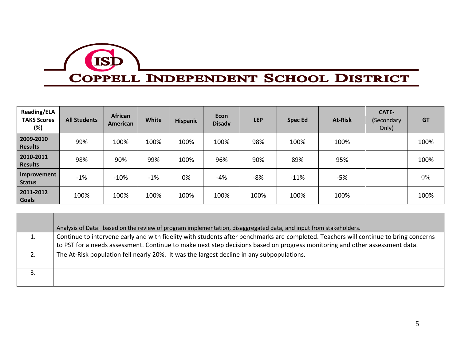

# COPPELL INDEPENDENT SCHOOL DISTRICT

| <b>Reading/ELA</b><br><b>TAKS Scores</b><br>(%) | <b>All Students</b> | <b>African</b><br>American | <b>White</b> | <b>Hispanic</b> | <b>Econ</b><br><b>Disadv</b> | <b>LEP</b> | <b>Spec Ed</b> | <b>At-Risk</b> | <b>CATE-</b><br>(Secondary<br>Only) | <b>GT</b> |
|-------------------------------------------------|---------------------|----------------------------|--------------|-----------------|------------------------------|------------|----------------|----------------|-------------------------------------|-----------|
| 2009-2010<br><b>Results</b>                     | 99%                 | 100%                       | 100%         | 100%            | 100%                         | 98%        | 100%           | 100%           |                                     | 100%      |
| 2010-2011<br><b>Results</b>                     | 98%                 | 90%                        | 99%          | 100%            | 96%                          | 90%        | 89%            | 95%            |                                     | 100%      |
| Improvement<br><b>Status</b>                    | $-1%$               | $-10%$                     | $-1%$        | 0%              | -4%                          | $-8%$      | $-11%$         | $-5%$          |                                     | 0%        |
| 2011-2012<br><b>Goals</b>                       | 100%                | 100%                       | 100%         | 100%            | 100%                         | 100%       | 100%           | 100%           |                                     | 100%      |

| Analysis of Data: based on the review of program implementation, disaggregated data, and input from stakeholders.                    |
|--------------------------------------------------------------------------------------------------------------------------------------|
| Continue to intervene early and with fidelity with students after benchmarks are completed. Teachers will continue to bring concerns |
| to PST for a needs assessment. Continue to make next step decisions based on progress monitoring and other assessment data.          |
| The At-Risk population fell nearly 20%. It was the largest decline in any subpopulations.                                            |
|                                                                                                                                      |
|                                                                                                                                      |
|                                                                                                                                      |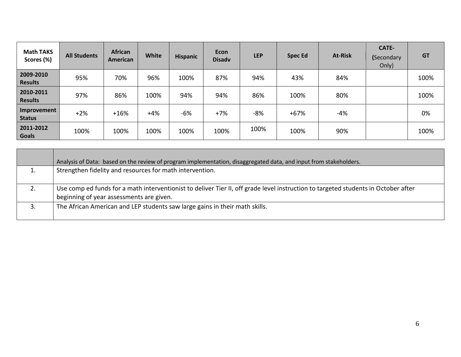| <b>Math TAKS</b><br>Scores (%) | <b>All Students</b> | <b>African</b><br>American | <b>White</b> | <b>Hispanic</b> | <b>Econ</b><br><b>Disadv</b> | <b>LEP</b> | <b>Spec Ed</b> | <b>At-Risk</b> | CATE-<br>(Secondary<br>Only) | <b>GT</b> |
|--------------------------------|---------------------|----------------------------|--------------|-----------------|------------------------------|------------|----------------|----------------|------------------------------|-----------|
| 2009-2010<br><b>Results</b>    | 95%                 | 70%                        | 96%          | 100%            | 87%                          | 94%        | 43%            | 84%            |                              | 100%      |
| 2010-2011<br><b>Results</b>    | 97%                 | 86%                        | 100%         | 94%             | 94%                          | 86%        | 100%           | 80%            |                              | 100%      |
| Improvement<br><b>Status</b>   | $+2%$               | $+16%$                     | $+4%$        | $-6%$           | $+7%$                        | -8%        | $+67%$         | -4%            |                              | 0%        |
| 2011-2012<br><b>Goals</b>      | 100%                | 100%                       | 100%         | 100%            | 100%                         | 100%       | 100%           | 90%            |                              | 100%      |

|    | Analysis of Data: based on the review of program implementation, disaggregated data, and input from stakeholders.                  |
|----|------------------------------------------------------------------------------------------------------------------------------------|
| 1. | Strengthen fidelity and resources for math intervention.                                                                           |
|    |                                                                                                                                    |
| 2. | Use comp ed funds for a math interventionist to deliver Tier II, off grade level instruction to targeted students in October after |
|    | beginning of year assessments are given.                                                                                           |
| 3. | The African American and LEP students saw large gains in their math skills.                                                        |
|    |                                                                                                                                    |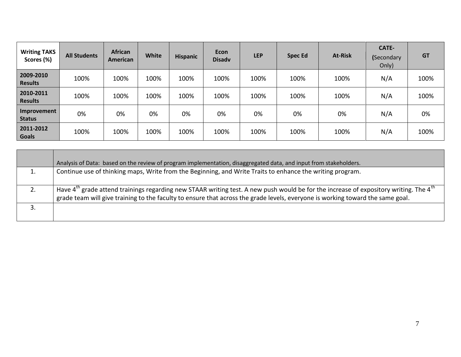| <b>Writing TAKS</b><br>Scores (%) | <b>All Students</b> | <b>African</b><br>American | <b>White</b> | <b>Hispanic</b> | <b>Econ</b><br><b>Disadv</b> | <b>LEP</b> | <b>Spec Ed</b> | <b>At-Risk</b> | CATE-<br>(Secondary<br>Only) | <b>GT</b> |
|-----------------------------------|---------------------|----------------------------|--------------|-----------------|------------------------------|------------|----------------|----------------|------------------------------|-----------|
| 2009-2010<br><b>Results</b>       | 100%                | 100%                       | 100%         | 100%            | 100%                         | 100%       | 100%           | 100%           | N/A                          | 100%      |
| 2010-2011<br><b>Results</b>       | 100%                | 100%                       | 100%         | 100%            | 100%                         | 100%       | 100%           | 100%           | N/A                          | 100%      |
| Improvement<br><b>Status</b>      | 0%                  | 0%                         | 0%           | 0%              | 0%                           | 0%         | 0%             | 0%             | N/A                          | 0%        |
| 2011-2012<br><b>Goals</b>         | 100%                | 100%                       | 100%         | 100%            | 100%                         | 100%       | 100%           | 100%           | N/A                          | 100%      |

|    | Analysis of Data: based on the review of program implementation, disaggregated data, and input from stakeholders.                                                                                                                                                                              |
|----|------------------------------------------------------------------------------------------------------------------------------------------------------------------------------------------------------------------------------------------------------------------------------------------------|
| 1. | Continue use of thinking maps, Write from the Beginning, and Write Traits to enhance the writing program.                                                                                                                                                                                      |
|    | Have $4^{\text{m}}$ grade attend trainings regarding new STAAR writing test. A new push would be for the increase of expository writing. The $4^{\text{th}}$<br>grade team will give training to the faculty to ensure that across the grade levels, everyone is working toward the same goal. |
|    |                                                                                                                                                                                                                                                                                                |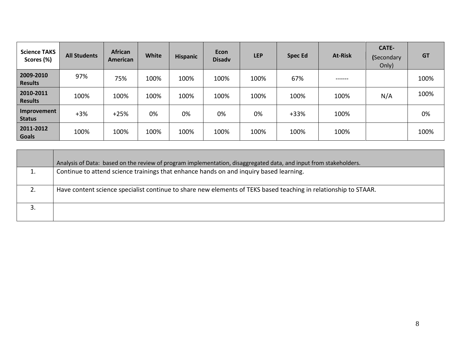| <b>Science TAKS</b><br>Scores (%) | <b>All Students</b> | <b>African</b><br>American | <b>White</b> | <b>Hispanic</b> | <b>Econ</b><br><b>Disadv</b> | <b>LEP</b> | <b>Spec Ed</b> | <b>At-Risk</b> | CATE-<br>(Secondary<br>Only) | <b>GT</b> |
|-----------------------------------|---------------------|----------------------------|--------------|-----------------|------------------------------|------------|----------------|----------------|------------------------------|-----------|
| 2009-2010<br><b>Results</b>       | 97%                 | 75%                        | 100%         | 100%            | 100%                         | 100%       | 67%            | ------         |                              | 100%      |
| 2010-2011<br><b>Results</b>       | 100%                | 100%                       | 100%         | 100%            | 100%                         | 100%       | 100%           | 100%           | N/A                          | 100%      |
| Improvement<br><b>Status</b>      | $+3%$               | $+25%$                     | 0%           | 0%              | 0%                           | 0%         | $+33%$         | 100%           |                              | 0%        |
| 2011-2012<br><b>Goals</b>         | 100%                | 100%                       | 100%         | 100%            | 100%                         | 100%       | 100%           | 100%           |                              | 100%      |

|    | Analysis of Data: based on the review of program implementation, disaggregated data, and input from stakeholders. |
|----|-------------------------------------------------------------------------------------------------------------------|
|    | Continue to attend science trainings that enhance hands on and inquiry based learning.                            |
| 2. | Have content science specialist continue to share new elements of TEKS based teaching in relationship to STAAR.   |
|    |                                                                                                                   |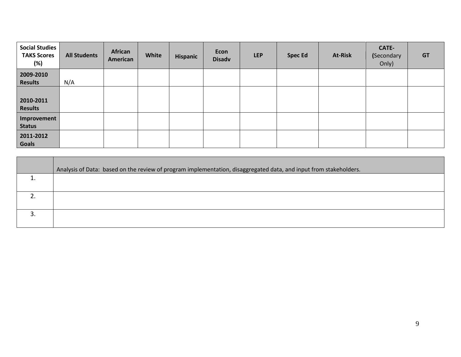| <b>Social Studies</b><br><b>TAKS Scores</b><br>(%) | <b>All Students</b> | African<br>American | White | Hispanic | <b>Econ</b><br><b>Disadv</b> | <b>LEP</b> | <b>Spec Ed</b> | At-Risk | CATE-<br>(Secondary<br>Only) | <b>GT</b> |
|----------------------------------------------------|---------------------|---------------------|-------|----------|------------------------------|------------|----------------|---------|------------------------------|-----------|
| 2009-2010<br><b>Results</b>                        | N/A                 |                     |       |          |                              |            |                |         |                              |           |
| 2010-2011<br><b>Results</b>                        |                     |                     |       |          |                              |            |                |         |                              |           |
| Improvement<br><b>Status</b>                       |                     |                     |       |          |                              |            |                |         |                              |           |
| 2011-2012<br><b>Goals</b>                          |                     |                     |       |          |                              |            |                |         |                              |           |

| Analysis of Data: based on the review of program implementation, disaggregated data, and input from stakeholders. |
|-------------------------------------------------------------------------------------------------------------------|
|                                                                                                                   |
|                                                                                                                   |
|                                                                                                                   |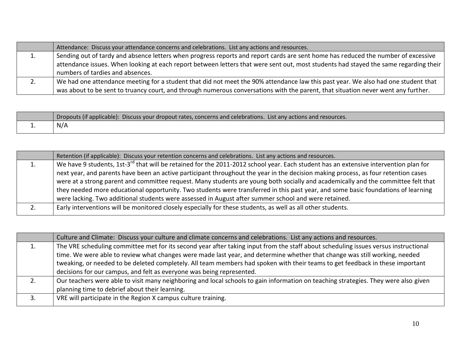| Attendance: Discuss your attendance concerns and celebrations. List any actions and resources.                                       |
|--------------------------------------------------------------------------------------------------------------------------------------|
| Sending out of tardy and absence letters when progress reports and report cards are sent home has reduced the number of excessive    |
| attendance issues. When looking at each report between letters that were sent out, most students had stayed the same regarding their |
| numbers of tardies and absences.                                                                                                     |
| We had one attendance meeting for a student that did not meet the 90% attendance law this past year. We also had one student that    |
| was about to be sent to truancy court, and through numerous conversations with the parent, that situation never went any further.    |

|          | Dropouts (if applicable): Discuss your dropout rates, concerns and celebrations. List any actions and resources. |
|----------|------------------------------------------------------------------------------------------------------------------|
| <b>.</b> | N/A                                                                                                              |

|    | Retention (if applicable): Discuss your retention concerns and celebrations. List any actions and resources.                                     |
|----|--------------------------------------------------------------------------------------------------------------------------------------------------|
| 1. | We have 9 students, 1st-3 <sup>rd</sup> that will be retained for the 2011-2012 school year. Each student has an extensive intervention plan for |
|    | next year, and parents have been an active participant throughout the year in the decision making process, as four retention cases               |
|    | were at a strong parent and committee request. Many students are young both socially and academically and the committee felt that                |
|    | they needed more educational opportunity. Two students were transferred in this past year, and some basic foundations of learning                |
|    | were lacking. Two additional students were assessed in August after summer school and were retained.                                             |
| 2. | Early interventions will be monitored closely especially for these students, as well as all other students.                                      |
|    |                                                                                                                                                  |

|    | Culture and Climate: Discuss your culture and climate concerns and celebrations. List any actions and resources.                    |
|----|-------------------------------------------------------------------------------------------------------------------------------------|
| 1. | The VRE scheduling committee met for its second year after taking input from the staff about scheduling issues versus instructional |
|    | time. We were able to review what changes were made last year, and determine whether that change was still working, needed          |
|    | tweaking, or needed to be deleted completely. All team members had spoken with their teams to get feedback in these important       |
|    | decisions for our campus, and felt as everyone was being represented.                                                               |
| 2. | Our teachers were able to visit many neighboring and local schools to gain information on teaching strategies. They were also given |
|    | planning time to debrief about their learning.                                                                                      |
|    | VRE will participate in the Region X campus culture training.                                                                       |
|    |                                                                                                                                     |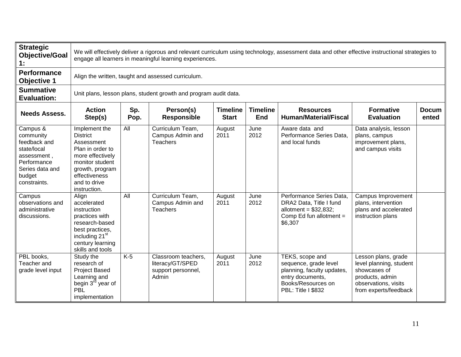| <b>Strategic</b><br><b>Objective/Goal</b><br>1:                                                                                 | We will effectively deliver a rigorous and relevant curriculum using technology, assessment data and other effective instructional strategies to<br>engage all learners in meaningful learning experiences.                                                          |       |                                                                        |                |              |                                                                                                                                        |                                                                                                                                    |  |  |  |  |  |
|---------------------------------------------------------------------------------------------------------------------------------|----------------------------------------------------------------------------------------------------------------------------------------------------------------------------------------------------------------------------------------------------------------------|-------|------------------------------------------------------------------------|----------------|--------------|----------------------------------------------------------------------------------------------------------------------------------------|------------------------------------------------------------------------------------------------------------------------------------|--|--|--|--|--|
| <b>Performance</b><br><b>Objective 1</b>                                                                                        | Align the written, taught and assessed curriculum.                                                                                                                                                                                                                   |       |                                                                        |                |              |                                                                                                                                        |                                                                                                                                    |  |  |  |  |  |
| <b>Summative</b><br><b>Evaluation:</b>                                                                                          | Unit plans, lesson plans, student growth and program audit data.                                                                                                                                                                                                     |       |                                                                        |                |              |                                                                                                                                        |                                                                                                                                    |  |  |  |  |  |
| <b>Needs Assess.</b>                                                                                                            | Sp.<br>Person(s)<br><b>Timeline</b><br><b>Timeline</b><br><b>Formative</b><br><b>Action</b><br><b>Resources</b><br><b>Docum</b><br><b>Responsible</b><br><b>Human/Material/Fiscal</b><br>Step(s)<br>Pop.<br><b>Start</b><br><b>End</b><br><b>Evaluation</b><br>ented |       |                                                                        |                |              |                                                                                                                                        |                                                                                                                                    |  |  |  |  |  |
| Campus &<br>community<br>feedback and<br>state/local<br>assessment,<br>Performance<br>Series data and<br>budget<br>constraints. | Implement the<br><b>District</b><br>Assessment<br>Plan in order to<br>more effectively<br>monitor student<br>growth, program<br>effectiveness<br>and to drive<br>instruction.                                                                                        | All   | Curriculum Team,<br>Campus Admin and<br><b>Teachers</b>                | August<br>2011 | June<br>2012 | Aware data and<br>Performance Series Data,<br>and local funds                                                                          | Data analysis, lesson<br>plans, campus<br>improvement plans,<br>and campus visits                                                  |  |  |  |  |  |
| Campus<br>observations and<br>administrative<br>discussions.                                                                    | Align<br>accelerated<br>instruction<br>practices with<br>research-based<br>best practices,<br>including 21 <sup>st</sup><br>century learning<br>skills and tools                                                                                                     | All   | Curriculum Team,<br>Campus Admin and<br>Teachers                       | August<br>2011 | June<br>2012 | Performance Series Data,<br>DRA2 Data, Title I fund<br>allotment = $$32,832$ ;<br>Comp Ed fun allotment =<br>\$6,307                   | Campus Improvement<br>plans, intervention<br>plans and accelerated<br>instruction plans                                            |  |  |  |  |  |
| PBL books,<br>Teacher and<br>grade level input                                                                                  | Study the<br>research of<br><b>Project Based</b><br>Learning and<br>begin 3 <sup>rd</sup> year of<br><b>PBL</b><br>implementation                                                                                                                                    | $K-5$ | Classroom teachers,<br>literacy/GT/SPED<br>support personnel,<br>Admin | August<br>2011 | June<br>2012 | TEKS, scope and<br>sequence, grade level<br>planning, faculty updates,<br>entry documents,<br>Books/Resources on<br>PBL: Title I \$832 | Lesson plans, grade<br>level planning, student<br>showcases of<br>products, admin<br>observations, visits<br>from experts/feedback |  |  |  |  |  |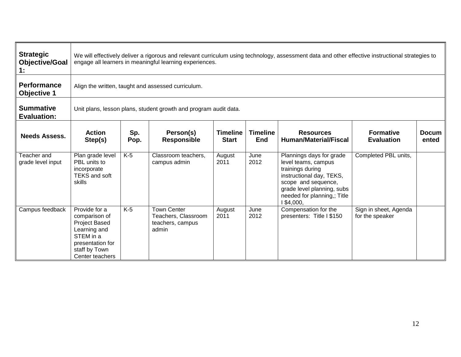| <b>Strategic</b><br><b>Objective/Goal</b><br>1: | We will effectively deliver a rigorous and relevant curriculum using technology, assessment data and other effective instructional strategies to<br>engage all learners in meaningful learning experiences. |                                                                  |                                                                        |                                 |                               |                                                                                                                                                                                                   |                                          |                       |  |  |  |  |  |
|-------------------------------------------------|-------------------------------------------------------------------------------------------------------------------------------------------------------------------------------------------------------------|------------------------------------------------------------------|------------------------------------------------------------------------|---------------------------------|-------------------------------|---------------------------------------------------------------------------------------------------------------------------------------------------------------------------------------------------|------------------------------------------|-----------------------|--|--|--|--|--|
| <b>Performance</b><br><b>Objective 1</b>        | Align the written, taught and assessed curriculum.                                                                                                                                                          |                                                                  |                                                                        |                                 |                               |                                                                                                                                                                                                   |                                          |                       |  |  |  |  |  |
| <b>Summative</b><br><b>Evaluation:</b>          |                                                                                                                                                                                                             | Unit plans, lesson plans, student growth and program audit data. |                                                                        |                                 |                               |                                                                                                                                                                                                   |                                          |                       |  |  |  |  |  |
| <b>Needs Assess.</b>                            | <b>Action</b><br>Step(s)                                                                                                                                                                                    | Sp.<br>Pop.                                                      | Person(s)<br><b>Responsible</b>                                        | <b>Timeline</b><br><b>Start</b> | <b>Timeline</b><br><b>End</b> | <b>Resources</b><br><b>Human/Material/Fiscal</b>                                                                                                                                                  | <b>Formative</b><br><b>Evaluation</b>    | <b>Docum</b><br>ented |  |  |  |  |  |
| Teacher and<br>grade level input                | Plan grade level<br>PBL units to<br>incorporate<br><b>TEKS and soft</b><br>skills                                                                                                                           | $K-5$                                                            | Classroom teachers,<br>campus admin                                    | August<br>2011                  | June<br>2012                  | Plannings days for grade<br>level teams, campus<br>trainings during<br>instructional day, TEKS,<br>scope and sequence,<br>grade level planning, subs<br>needed for planning,; Title<br>I \$4,000, | Completed PBL units,                     |                       |  |  |  |  |  |
| Campus feedback                                 | Provide for a<br>comparison of<br><b>Project Based</b><br>Learning and<br>STEM in a<br>presentation for<br>staff by Town<br>Center teachers                                                                 | $K-5$                                                            | <b>Town Center</b><br>Teachers, Classroom<br>teachers, campus<br>admin | August<br>2011                  | June<br>2012                  | Compensation for the<br>presenters: Title I \$150                                                                                                                                                 | Sign in sheet, Agenda<br>for the speaker |                       |  |  |  |  |  |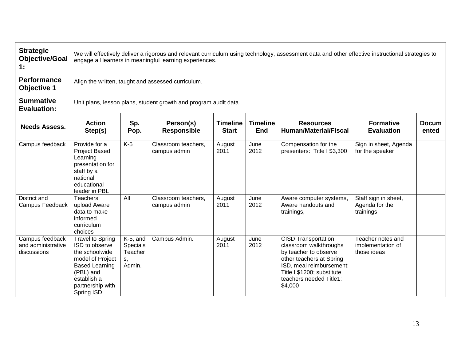| <b>Strategic</b><br><b>Objective/Goal</b><br>1:      | We will effectively deliver a rigorous and relevant curriculum using technology, assessment data and other effective instructional strategies to<br>engage all learners in meaningful learning experiences. |                                                                  |                                     |                                 |                               |                                                                                                                                                                                                     |                                                       |                       |  |  |  |  |  |
|------------------------------------------------------|-------------------------------------------------------------------------------------------------------------------------------------------------------------------------------------------------------------|------------------------------------------------------------------|-------------------------------------|---------------------------------|-------------------------------|-----------------------------------------------------------------------------------------------------------------------------------------------------------------------------------------------------|-------------------------------------------------------|-----------------------|--|--|--|--|--|
| <b>Performance</b><br><b>Objective 1</b>             | Align the written, taught and assessed curriculum.                                                                                                                                                          |                                                                  |                                     |                                 |                               |                                                                                                                                                                                                     |                                                       |                       |  |  |  |  |  |
| <b>Summative</b><br><b>Evaluation:</b>               |                                                                                                                                                                                                             | Unit plans, lesson plans, student growth and program audit data. |                                     |                                 |                               |                                                                                                                                                                                                     |                                                       |                       |  |  |  |  |  |
| <b>Needs Assess.</b>                                 | <b>Action</b><br>Step(s)                                                                                                                                                                                    | Sp.<br>Pop.                                                      | Person(s)<br><b>Responsible</b>     | <b>Timeline</b><br><b>Start</b> | <b>Timeline</b><br><b>End</b> | <b>Resources</b><br><b>Human/Material/Fiscal</b>                                                                                                                                                    | <b>Formative</b><br><b>Evaluation</b>                 | <b>Docum</b><br>ented |  |  |  |  |  |
| Campus feedback                                      | Provide for a<br><b>Project Based</b><br>Learning<br>presentation for<br>staff by a<br>national<br>educational<br>leader in PBL                                                                             | $K-5$                                                            | Classroom teachers.<br>campus admin | August<br>2011                  | June<br>2012                  | Compensation for the<br>presenters: Title I \$3,300                                                                                                                                                 | Sign in sheet, Agenda<br>for the speaker              |                       |  |  |  |  |  |
| District and<br>Campus Feedback                      | <b>Teachers</b><br>upload Aware<br>data to make<br>informed<br>curriculum<br>choices                                                                                                                        | All                                                              | Classroom teachers,<br>campus admin | August<br>2011                  | June<br>2012                  | Aware computer systems,<br>Aware handouts and<br>trainings,                                                                                                                                         | Staff sign in sheet,<br>Agenda for the<br>trainings   |                       |  |  |  |  |  |
| Campus feedback<br>and administrative<br>discussions | <b>Travel to Spring</b><br>ISD to observe<br>the schoolwide<br>model of Project<br><b>Based Learning</b><br>(PBL) and<br>establish a<br>partnership with<br>Spring ISD                                      | $K-5$ , and<br>Specials<br>Teacher<br>s,<br>Admin.               | Campus Admin.                       | August<br>2011                  | June<br>2012                  | CISD Transportation,<br>classroom walkthroughs<br>by teacher to observe<br>other teachers at Spring<br>ISD, meal reimbursement:<br>Title I \$1200; substitute<br>teachers needed Title1:<br>\$4,000 | Teacher notes and<br>implementation of<br>those ideas |                       |  |  |  |  |  |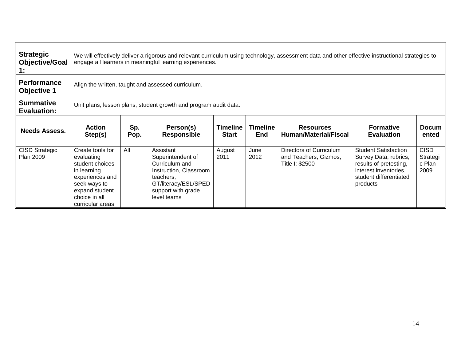| <b>Strategic</b><br><b>Objective/Goal</b><br>1: | We will effectively deliver a rigorous and relevant curriculum using technology, assessment data and other effective instructional strategies to<br>engage all learners in meaningful learning experiences. |                                                                  |                                                                                                                                                      |                                 |                               |                                                                     |                                                                                                                                               |                                           |  |  |  |  |
|-------------------------------------------------|-------------------------------------------------------------------------------------------------------------------------------------------------------------------------------------------------------------|------------------------------------------------------------------|------------------------------------------------------------------------------------------------------------------------------------------------------|---------------------------------|-------------------------------|---------------------------------------------------------------------|-----------------------------------------------------------------------------------------------------------------------------------------------|-------------------------------------------|--|--|--|--|
| <b>Performance</b><br><b>Objective 1</b>        | Align the written, taught and assessed curriculum.                                                                                                                                                          |                                                                  |                                                                                                                                                      |                                 |                               |                                                                     |                                                                                                                                               |                                           |  |  |  |  |
| <b>Summative</b><br><b>Evaluation:</b>          |                                                                                                                                                                                                             | Unit plans, lesson plans, student growth and program audit data. |                                                                                                                                                      |                                 |                               |                                                                     |                                                                                                                                               |                                           |  |  |  |  |
| <b>Needs Assess.</b>                            | <b>Action</b><br>Step(s)                                                                                                                                                                                    | Sp.<br>Pop.                                                      | Person(s)<br><b>Responsible</b>                                                                                                                      | <b>Timeline</b><br><b>Start</b> | <b>Timeline</b><br><b>End</b> | <b>Resources</b><br><b>Human/Material/Fiscal</b>                    | <b>Formative</b><br><b>Evaluation</b>                                                                                                         | <b>Docum</b><br>ented                     |  |  |  |  |
| <b>CISD Strategic</b><br><b>Plan 2009</b>       | Create tools for<br>evaluating<br>student choices<br>in learning<br>experiences and<br>seek ways to<br>expand student<br>choice in all<br>curricular areas                                                  | All                                                              | Assistant<br>Superintendent of<br>Curriculum and<br>Instruction, Classroom<br>teachers,<br>GT/literacy/ESL/SPED<br>support with grade<br>level teams | August<br>2011                  | June<br>2012                  | Directors of Curriculum<br>and Teachers, Gizmos,<br>Title I: \$2500 | <b>Student Satisfaction</b><br>Survey Data, rubrics,<br>results of pretesting,<br>interest inventories,<br>student differentiated<br>products | <b>CISD</b><br>Strategi<br>c Plan<br>2009 |  |  |  |  |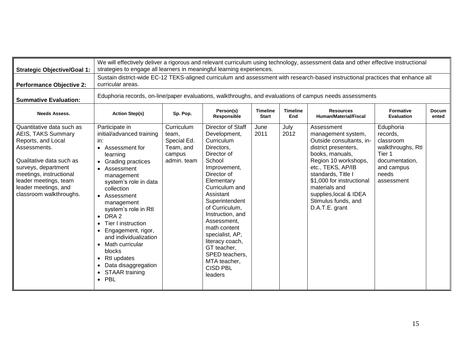| <b>Strategic Objective/Goal 1:</b>                                                                                                                                                                                                                     | We will effectively deliver a rigorous and relevant curriculum using technology, assessment data and other effective instructional<br>strategies to engage all learners in meaningful learning experiences.                                                                                                                                                                                                                                                                                |                                                                          |                                                                                                                                                                                                                                                                                                                                                                                |                                 |                        |                                                                                                                                                                                                                                                                                             |                                                                                                                          |                       |  |  |  |
|--------------------------------------------------------------------------------------------------------------------------------------------------------------------------------------------------------------------------------------------------------|--------------------------------------------------------------------------------------------------------------------------------------------------------------------------------------------------------------------------------------------------------------------------------------------------------------------------------------------------------------------------------------------------------------------------------------------------------------------------------------------|--------------------------------------------------------------------------|--------------------------------------------------------------------------------------------------------------------------------------------------------------------------------------------------------------------------------------------------------------------------------------------------------------------------------------------------------------------------------|---------------------------------|------------------------|---------------------------------------------------------------------------------------------------------------------------------------------------------------------------------------------------------------------------------------------------------------------------------------------|--------------------------------------------------------------------------------------------------------------------------|-----------------------|--|--|--|
| <b>Performance Objective 2:</b>                                                                                                                                                                                                                        | Sustain district-wide EC-12 TEKS-aligned curriculum and assessment with research-based instructional practices that enhance all<br>curricular areas.                                                                                                                                                                                                                                                                                                                                       |                                                                          |                                                                                                                                                                                                                                                                                                                                                                                |                                 |                        |                                                                                                                                                                                                                                                                                             |                                                                                                                          |                       |  |  |  |
| <b>Summative Evaluation:</b>                                                                                                                                                                                                                           | Eduphoria records, on-line/paper evaluations, walkthroughs, and evaluations of campus needs assessments                                                                                                                                                                                                                                                                                                                                                                                    |                                                                          |                                                                                                                                                                                                                                                                                                                                                                                |                                 |                        |                                                                                                                                                                                                                                                                                             |                                                                                                                          |                       |  |  |  |
| <b>Needs Assess.</b>                                                                                                                                                                                                                                   | <b>Action Step(s)</b>                                                                                                                                                                                                                                                                                                                                                                                                                                                                      | Sp. Pop.                                                                 | Person(s)<br>Responsible                                                                                                                                                                                                                                                                                                                                                       | <b>Timeline</b><br><b>Start</b> | <b>Timeline</b><br>End | <b>Resources</b><br><b>Human/Material/Fiscal</b>                                                                                                                                                                                                                                            | <b>Formative</b><br><b>Evaluation</b>                                                                                    | <b>Docum</b><br>ented |  |  |  |
| Quantitative data such as<br><b>AEIS, TAKS Summary</b><br>Reports, and Local<br>Assessments.<br>Qualitative data such as<br>surveys, department<br>meetings, instructional<br>leader meetings, team<br>leader meetings, and<br>classroom walkthroughs. | Participate in<br>initial/advanced training<br>in:<br>Assessment for<br>$\bullet$<br>learning<br>• Grading practices<br>Assessment<br>$\bullet$<br>management<br>system's role in data<br>collection<br>• Assessment<br>management<br>system's role in Rtl<br>DRA <sub>2</sub><br>Tier I instruction<br>$\bullet$<br>Engagement, rigor,<br>and individualization<br>Math curricular<br>blocks<br>Rtl updates<br>$\bullet$<br>Data disaggregation<br><b>STAAR training</b><br>$\bullet$ PBL | Curriculum<br>team,<br>Special Ed.<br>Team, and<br>campus<br>admin. team | Director of Staff<br>Development,<br>Curriculum<br>Directors,<br>Director of<br>School<br>Improvement,<br>Director of<br>Elementary<br>Curriculum and<br>Assistant<br>Superintendent<br>of Curriculum,<br>Instruction, and<br>Assessment,<br>math content<br>specialist, AP,<br>literacy coach,<br>GT teacher,<br>SPED teachers,<br>MTA teacher,<br><b>CISD PBL</b><br>leaders | June<br>2011                    | July<br>2012           | Assessment<br>management system,<br>Outside consultants, in-<br>district presenters,<br>books, manuals,<br>Region 10 workshops,<br>etc., TEKS, AP/IB<br>standards, Title I<br>\$1,000 for instructional<br>materials and<br>supplies, local & IDEA<br>Stimulus funds, and<br>D.A.T.E. grant | Eduphoria<br>records,<br>classroom<br>walkthroughs, Rtl<br>Tier 1<br>documentation,<br>and campus<br>needs<br>assessment |                       |  |  |  |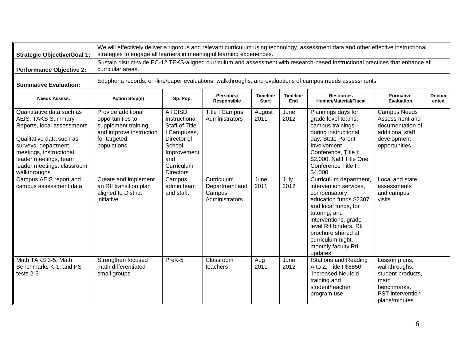| <b>Strategic Objective/Goal 1:</b>                                                                                                                                                                                                   | We will effectively deliver a rigorous and relevant curriculum using technology, assessment data and other effective instructional<br>strategies to engage all learners in meaningful learning experiences. |                                                                                                                                                           |                                                          |                                 |                        |                                                                                                                                                                                                                                                                    |                                                                                                                 |                       |  |  |  |
|--------------------------------------------------------------------------------------------------------------------------------------------------------------------------------------------------------------------------------------|-------------------------------------------------------------------------------------------------------------------------------------------------------------------------------------------------------------|-----------------------------------------------------------------------------------------------------------------------------------------------------------|----------------------------------------------------------|---------------------------------|------------------------|--------------------------------------------------------------------------------------------------------------------------------------------------------------------------------------------------------------------------------------------------------------------|-----------------------------------------------------------------------------------------------------------------|-----------------------|--|--|--|
| <b>Performance Objective 2:</b>                                                                                                                                                                                                      | Sustain district-wide EC-12 TEKS-aligned curriculum and assessment with research-based instructional practices that enhance all<br>curricular areas.                                                        |                                                                                                                                                           |                                                          |                                 |                        |                                                                                                                                                                                                                                                                    |                                                                                                                 |                       |  |  |  |
| <b>Summative Evaluation:</b>                                                                                                                                                                                                         | Eduphoria records, on-line/paper evaluations, walkthroughs, and evaluations of campus needs assessments                                                                                                     |                                                                                                                                                           |                                                          |                                 |                        |                                                                                                                                                                                                                                                                    |                                                                                                                 |                       |  |  |  |
| <b>Needs Assess.</b>                                                                                                                                                                                                                 | <b>Action Step(s)</b>                                                                                                                                                                                       | Sp. Pop.                                                                                                                                                  | Person(s)<br>Responsible                                 | <b>Timeline</b><br><b>Start</b> | <b>Timeline</b><br>End | <b>Resources</b><br>Human/Material/Fiscal                                                                                                                                                                                                                          | <b>Formative</b><br><b>Evaluation</b>                                                                           | <b>Docum</b><br>ented |  |  |  |
| Quantitative data such as<br>AEIS, TAKS Summary<br>Reports, local assessments.<br>Qualitative data such as<br>surveys, department<br>meetings, instructional<br>leader meetings, team<br>leader meetings, classroom<br>walkthroughs. | Provide additional<br>opportunities to<br>supplement training<br>and improve instruction<br>for targeted<br>populations.                                                                                    | <b>All CISD</b><br>Instructional<br><b>Staff of Title</b><br>I Campuses,<br>Director of<br>School<br>Improvement<br>and<br>Curriculum<br><b>Directors</b> | <b>Title I Campus</b><br>Administrators                  | August<br>2011                  | June<br>2012           | Plannings days for<br>grade level teams,<br>campus trainings<br>during instructional<br>day, State Parent<br>Involvement<br>Conference, Title I:<br>\$2,000, Nat'l Title One<br>Conference Title I:<br>\$4,000                                                     | <b>Campus Needs</b><br>Assessment and<br>documentation of<br>additional staff<br>development<br>opportunities   |                       |  |  |  |
| Campus AEIS report and<br>campus assessment data.                                                                                                                                                                                    | Create and implement<br>an Rtl transition plan<br>aligned to District<br>initiative.                                                                                                                        | Campus<br>admin team<br>and staff.                                                                                                                        | Curriculum<br>Department and<br>Campus<br>Administrators | June<br>2011                    | July<br>2012           | Curriculum department,<br>intervention services,<br>compensatory<br>education funds \$2307<br>and local funds, for<br>tutoring, and<br>interventions, grade<br>level Rtl binders, Rti<br>brochure shared at<br>curriculum night,<br>monthly faculty Rtl<br>updates | Local and state<br>assessments<br>and campus<br>visits.                                                         |                       |  |  |  |
| Math TAKS 3-5, Math<br>Benchmarks K-1, and PS<br>tests 2-5                                                                                                                                                                           | Strengthen focused<br>math differentiated<br>small groups                                                                                                                                                   | PreK-5                                                                                                                                                    | Classroom<br>teachers                                    | Aug<br>2011                     | June<br>2012           | <b>IStations and Reading</b><br>A to Z, Title I \$8850<br>increased Neufeld<br>training and<br>student/teacher<br>program use,                                                                                                                                     | Lesson plans,<br>walkthroughs,<br>student products,<br>math<br>benchmarks,<br>PST intervention<br>plans/minutes |                       |  |  |  |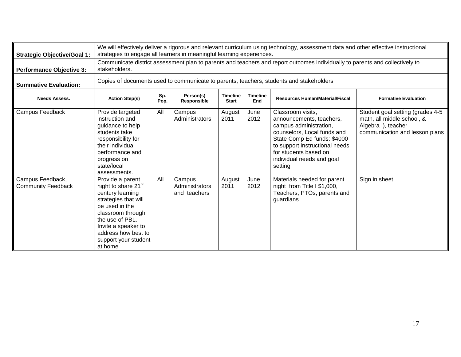| <b>Strategic Objective/Goal 1:</b>            | We will effectively deliver a rigorous and relevant curriculum using technology, assessment data and other effective instructional<br>strategies to engage all learners in meaningful learning experiences.                                |     |                                          |                |              |                                                                                                                                                                                                                                          |                                                                                                                         |  |  |  |
|-----------------------------------------------|--------------------------------------------------------------------------------------------------------------------------------------------------------------------------------------------------------------------------------------------|-----|------------------------------------------|----------------|--------------|------------------------------------------------------------------------------------------------------------------------------------------------------------------------------------------------------------------------------------------|-------------------------------------------------------------------------------------------------------------------------|--|--|--|
| <b>Performance Objective 3:</b>               | Communicate district assessment plan to parents and teachers and report outcomes individually to parents and collectively to<br>stakeholders.                                                                                              |     |                                          |                |              |                                                                                                                                                                                                                                          |                                                                                                                         |  |  |  |
| <b>Summative Evaluation:</b>                  | Copies of documents used to communicate to parents, teachers, students and stakeholders                                                                                                                                                    |     |                                          |                |              |                                                                                                                                                                                                                                          |                                                                                                                         |  |  |  |
| <b>Needs Assess.</b>                          | Sp.<br>Person(s)<br><b>Timeline</b><br><b>Timeline</b><br><b>Action Step(s)</b><br><b>Resources Human/Material/Fiscal</b><br><b>Formative Evaluation</b><br>Pop.<br>Responsible<br><b>Start</b><br>End                                     |     |                                          |                |              |                                                                                                                                                                                                                                          |                                                                                                                         |  |  |  |
| Campus Feedback                               | Provide targeted<br>instruction and<br>guidance to help<br>students take<br>responsibility for<br>their individual<br>performance and<br>progress on<br>state/local<br>assessments.                                                        | All | Campus<br>Administrators                 | August<br>2011 | June<br>2012 | Classroom visits,<br>announcements, teachers,<br>campus administration,<br>counselors, Local funds and<br>State Comp Ed funds: \$4000<br>to support instructional needs<br>for students based on<br>individual needs and goal<br>setting | Student goal setting (grades 4-5<br>math, all middle school, &<br>Algebra I), teacher<br>communication and lesson plans |  |  |  |
| Campus Feedback,<br><b>Community Feedback</b> | Provide a parent<br>night to share 21 <sup>st</sup><br>century learning<br>strategies that will<br>be used in the<br>classroom through<br>the use of PBL.<br>Invite a speaker to<br>address how best to<br>support your student<br>at home | All | Campus<br>Administrators<br>and teachers | August<br>2011 | June<br>2012 | Materials needed for parent<br>night from Title I \$1,000,<br>Teachers, PTOs, parents and<br>guardians                                                                                                                                   | Sign in sheet                                                                                                           |  |  |  |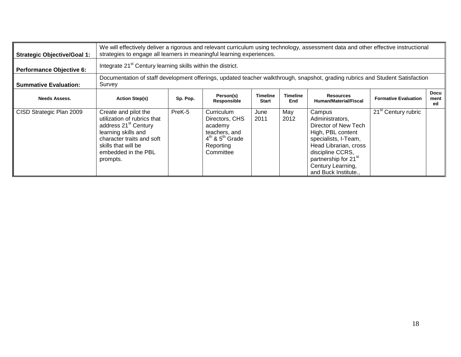| <b>Strategic Objective/Goal 1:</b> | We will effectively deliver a rigorous and relevant curriculum using technology, assessment data and other effective instructional<br>strategies to engage all learners in meaningful learning experiences. |                                                                                                                               |                                                                                                           |                                 |                        |                                                                                                                                                                                                                              |                             |                           |  |  |
|------------------------------------|-------------------------------------------------------------------------------------------------------------------------------------------------------------------------------------------------------------|-------------------------------------------------------------------------------------------------------------------------------|-----------------------------------------------------------------------------------------------------------|---------------------------------|------------------------|------------------------------------------------------------------------------------------------------------------------------------------------------------------------------------------------------------------------------|-----------------------------|---------------------------|--|--|
| <b>Performance Objective 6:</b>    |                                                                                                                                                                                                             | Integrate 21 <sup>st</sup> Century learning skills within the district.                                                       |                                                                                                           |                                 |                        |                                                                                                                                                                                                                              |                             |                           |  |  |
| <b>Summative Evaluation:</b>       | Survey                                                                                                                                                                                                      | Documentation of staff development offerings, updated teacher walkthrough, snapshot, grading rubrics and Student Satisfaction |                                                                                                           |                                 |                        |                                                                                                                                                                                                                              |                             |                           |  |  |
| <b>Needs Assess.</b>               | <b>Action Step(s)</b>                                                                                                                                                                                       | Sp. Pop.                                                                                                                      | Person(s)<br>Responsible                                                                                  | <b>Timeline</b><br><b>Start</b> | <b>Timeline</b><br>End | <b>Resources</b><br><b>Human/Material/Fiscal</b>                                                                                                                                                                             | <b>Formative Evaluation</b> | <b>Docu</b><br>ment<br>ed |  |  |
| CISD Strategic Plan 2009           | Create and pilot the<br>utilization of rubrics that<br>address 21 <sup>st</sup> Century<br>learning skills and<br>character traits and soft<br>skills that will be<br>embedded in the PBL<br>prompts.       | PreK-5                                                                                                                        | Curriculum<br>Directors, CHS<br>academy<br>teachers, and<br>$4th$ & $5th$ Grade<br>Reporting<br>Committee | June<br>2011                    | May<br>2012            | Campus<br>Administrators,<br>Director of New Tech<br>High, PBL content<br>specialists, I-Team,<br>Head Librarian, cross<br>discipline CCRS,<br>partnership for 21 <sup>st</sup><br>Century Learning,<br>and Buck Institute., | $21st$ Century rubric       |                           |  |  |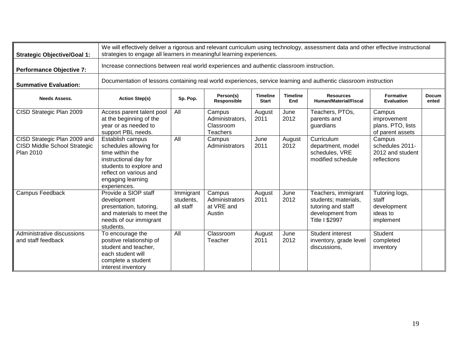| <b>Strategic Objective/Goal 1:</b>                                                      |                                                                                                                                                                                  | We will effectively deliver a rigorous and relevant curriculum using technology, assessment data and other effective instructional<br>strategies to engage all learners in meaningful learning experiences. |                                                           |                                 |                        |                                                                                                                |                                                                 |                       |  |  |  |
|-----------------------------------------------------------------------------------------|----------------------------------------------------------------------------------------------------------------------------------------------------------------------------------|-------------------------------------------------------------------------------------------------------------------------------------------------------------------------------------------------------------|-----------------------------------------------------------|---------------------------------|------------------------|----------------------------------------------------------------------------------------------------------------|-----------------------------------------------------------------|-----------------------|--|--|--|
| <b>Performance Objective 7:</b>                                                         |                                                                                                                                                                                  | Increase connections between real world experiences and authentic classroom instruction.                                                                                                                    |                                                           |                                 |                        |                                                                                                                |                                                                 |                       |  |  |  |
| <b>Summative Evaluation:</b>                                                            |                                                                                                                                                                                  | Documentation of lessons containing real world experiences, service learning and authentic classroom instruction                                                                                            |                                                           |                                 |                        |                                                                                                                |                                                                 |                       |  |  |  |
| <b>Needs Assess.</b>                                                                    | <b>Action Step(s)</b>                                                                                                                                                            | Sp. Pop.                                                                                                                                                                                                    | Person(s)<br>Responsible                                  | <b>Timeline</b><br><b>Start</b> | <b>Timeline</b><br>End | <b>Resources</b><br><b>Human/Material/Fiscal</b>                                                               | <b>Formative</b><br>Evaluation                                  | <b>Docum</b><br>ented |  |  |  |
| CISD Strategic Plan 2009                                                                | Access parent talent pool<br>at the beginning of the<br>year or as needed to<br>support PBL needs.                                                                               | All                                                                                                                                                                                                         | Campus<br>Administrators,<br>Classroom<br><b>Teachers</b> | August<br>2011                  | June<br>2012           | Teachers, PTOs,<br>parents and<br>guardians                                                                    | Campus<br>improvement<br>plans. PTO, lists<br>of parent assets  |                       |  |  |  |
| CISD Strategic Plan 2009 and<br><b>CISD Middle School Strategic</b><br><b>Plan 2010</b> | Establish campus<br>schedules allowing for<br>time within the<br>instructional day for<br>students to explore and<br>reflect on various and<br>engaging learning<br>experiences. | All                                                                                                                                                                                                         | Campus<br>Administrators                                  | June<br>2011                    | August<br>2012         | Curriculum<br>department, model<br>schedules, VRE<br>modified schedule                                         | Campus<br>schedules 2011-<br>2012 and student<br>reflections    |                       |  |  |  |
| Campus Feedback                                                                         | Provide a SIOP staff<br>development<br>presentation, tutoring,<br>and materials to meet the<br>needs of our immigrant<br>students.                                               | Immigrant<br>students,<br>all staff                                                                                                                                                                         | Campus<br>Administrators<br>at VRE and<br>Austin          | August<br>2011                  | June<br>2012           | Teachers, immigrant<br>students; materials,<br>tutoring and staff<br>development from<br><b>Title I \$2997</b> | Tutoring logs,<br>staff<br>development<br>ideas to<br>implement |                       |  |  |  |
| Administrative discussions<br>and staff feedback                                        | To encourage the<br>positive relationship of<br>student and teacher,<br>each student will<br>complete a student<br>interest inventory                                            | All                                                                                                                                                                                                         | Classroom<br>Teacher                                      | August<br>2011                  | June<br>2012           | Student interest<br>inventory, grade level<br>discussions,                                                     | <b>Student</b><br>completed<br>inventory                        |                       |  |  |  |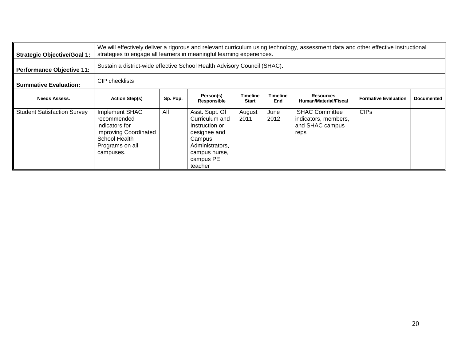| <b>Strategic Objective/Goal 1:</b> | We will effectively deliver a rigorous and relevant curriculum using technology, assessment data and other effective instructional<br>strategies to engage all learners in meaningful learning experiences. |                                                                          |                                                                                                                                          |                          |                        |                                                                          |                             |                   |  |  |
|------------------------------------|-------------------------------------------------------------------------------------------------------------------------------------------------------------------------------------------------------------|--------------------------------------------------------------------------|------------------------------------------------------------------------------------------------------------------------------------------|--------------------------|------------------------|--------------------------------------------------------------------------|-----------------------------|-------------------|--|--|
| <b>Performance Objective 11:</b>   |                                                                                                                                                                                                             | Sustain a district-wide effective School Health Advisory Council (SHAC). |                                                                                                                                          |                          |                        |                                                                          |                             |                   |  |  |
| <b>Summative Evaluation:</b>       | CIP checklists                                                                                                                                                                                              |                                                                          |                                                                                                                                          |                          |                        |                                                                          |                             |                   |  |  |
| <b>Needs Assess.</b>               | <b>Action Step(s)</b>                                                                                                                                                                                       | Sp. Pop.                                                                 | Person(s)<br>Responsible                                                                                                                 | Timeline<br><b>Start</b> | <b>Timeline</b><br>End | <b>Resources</b><br>Human/Material/Fiscal                                | <b>Formative Evaluation</b> | <b>Documented</b> |  |  |
| <b>Student Satisfaction Survey</b> | Implement SHAC<br>recommended<br>indicators for<br>improving Coordinated<br>School Health<br>Programs on all<br>campuses.                                                                                   | All                                                                      | Asst. Supt. Of<br>Curriculum and<br>Instruction or<br>designee and<br>Campus<br>Administrators,<br>campus nurse,<br>campus PE<br>teacher | August<br>2011           | June<br>2012           | <b>SHAC Committee</b><br>indicators, members,<br>and SHAC campus<br>reps | <b>CIPs</b>                 |                   |  |  |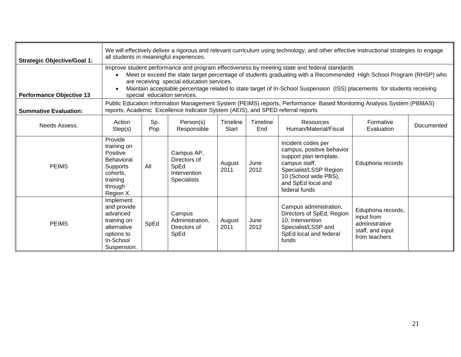| <b>Strategic Objective/Goal 1:</b> |                                                                                                                            | We will effectively deliver a rigorous and relevant curriculum using technology, and other effective instructional strategies to engage<br>all students in meaningful experiences.                                                                                                                                                                                                                                        |                                                                          |                   |                 |                                                                                                                                                                                      |                                                                                         |            |  |  |  |
|------------------------------------|----------------------------------------------------------------------------------------------------------------------------|---------------------------------------------------------------------------------------------------------------------------------------------------------------------------------------------------------------------------------------------------------------------------------------------------------------------------------------------------------------------------------------------------------------------------|--------------------------------------------------------------------------|-------------------|-----------------|--------------------------------------------------------------------------------------------------------------------------------------------------------------------------------------|-----------------------------------------------------------------------------------------|------------|--|--|--|
| <b>Performance Objective 13</b>    |                                                                                                                            | Improve student performance and program effectiveness by meeting state and federal standards<br>Meet or exceed the state target percentage of students graduating with a Recommended High School Program (RHSP) who<br>are receiving special education services.<br>Maintain acceptable percentage related to state target of In-School Suspension (ISS) placements for students receiving<br>special education services. |                                                                          |                   |                 |                                                                                                                                                                                      |                                                                                         |            |  |  |  |
| <b>Summative Evaluation:</b>       |                                                                                                                            | Public Education Information Management System (PEIMS) reports, Performance Based Monitoring Analysis System (PBMAS)<br>reports, Academic Excellence Indicator System (AEIS), and SPED referral reports                                                                                                                                                                                                                   |                                                                          |                   |                 |                                                                                                                                                                                      |                                                                                         |            |  |  |  |
| Needs Assess.                      | Action<br>Step(s)                                                                                                          | Sp.<br>Pop.                                                                                                                                                                                                                                                                                                                                                                                                               | Person(s)<br>Responsible                                                 | Timeline<br>Start | Timeline<br>End | Resources<br>Human/Material/Fiscal                                                                                                                                                   | Formative<br>Evaluation                                                                 | Documented |  |  |  |
| <b>PEIMS</b>                       | Provide<br>training on<br>Positive<br><b>Behavioral</b><br><b>Supports</b><br>cohorts,<br>training<br>through<br>Region X. | All                                                                                                                                                                                                                                                                                                                                                                                                                       | Campus AP,<br>Directors of<br>SpEd<br>Intervention<br><b>Specialists</b> | August<br>2011    | June<br>2012    | Incident codes per<br>campus, positive behavior<br>support plan template,<br>campus staff,<br>Specialist/LSSP Region<br>10 (School wide PBS),<br>and SpEd local and<br>federal funds | Eduphoria records                                                                       |            |  |  |  |
| <b>PEIMS</b>                       | Implement<br>and provide<br>advanced<br>training on<br>alternative<br>options to<br>In-School<br>Suspension.               | SpEd                                                                                                                                                                                                                                                                                                                                                                                                                      | Campus<br>Administration,<br>Directors of<br>SpEd                        | August<br>2011    | June<br>2012    | Campus administration,<br>Directors of SpEd, Region<br>10, Intervention<br>Specialist/LSSP and<br>SpEd local and federal<br>funds                                                    | Eduphoria records,<br>input from<br>administrative<br>staff, and input<br>from teachers |            |  |  |  |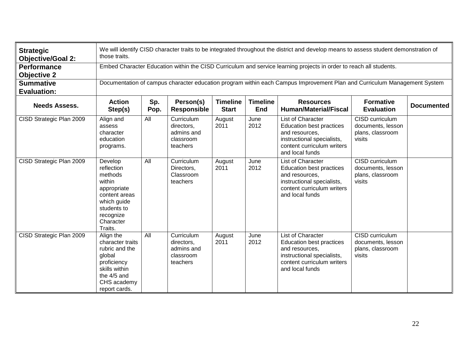| <b>Strategic</b><br><b>Objective/Goal 2:</b> | We will identify CISD character traits to be integrated throughout the district and develop means to assess student demonstration of<br>those traits. |                                                                                                                          |                                                                 |                                 |                               |                                                                                                                                                              |                                                                           |                   |  |  |
|----------------------------------------------|-------------------------------------------------------------------------------------------------------------------------------------------------------|--------------------------------------------------------------------------------------------------------------------------|-----------------------------------------------------------------|---------------------------------|-------------------------------|--------------------------------------------------------------------------------------------------------------------------------------------------------------|---------------------------------------------------------------------------|-------------------|--|--|
| <b>Performance</b><br><b>Objective 2</b>     |                                                                                                                                                       | Embed Character Education within the CISD Curriculum and service learning projects in order to reach all students.       |                                                                 |                                 |                               |                                                                                                                                                              |                                                                           |                   |  |  |
| <b>Summative</b><br><b>Evaluation:</b>       |                                                                                                                                                       | Documentation of campus character education program within each Campus Improvement Plan and Curriculum Management System |                                                                 |                                 |                               |                                                                                                                                                              |                                                                           |                   |  |  |
| <b>Needs Assess.</b>                         | <b>Action</b><br>Step(s)                                                                                                                              | Sp.<br>Pop.                                                                                                              | Person(s)<br><b>Responsible</b>                                 | <b>Timeline</b><br><b>Start</b> | <b>Timeline</b><br><b>End</b> | <b>Resources</b><br><b>Human/Material/Fiscal</b>                                                                                                             | <b>Formative</b><br><b>Evaluation</b>                                     | <b>Documented</b> |  |  |
| CISD Strategic Plan 2009                     | Align and<br>assess<br>character<br>education<br>programs.                                                                                            | All                                                                                                                      | Curriculum<br>directors,<br>admins and<br>classroom<br>teachers | August<br>2011                  | June<br>2012                  | List of Character<br>Education best practices<br>and resources,<br>instructional specialists,<br>content curriculum writers<br>and local funds               | CISD curriculum<br>documents, lesson<br>plans, classroom<br>visits        |                   |  |  |
| CISD Strategic Plan 2009                     | Develop<br>reflection<br>methods<br>within<br>appropriate<br>content areas<br>which guide<br>students to<br>recognize<br>Character<br>Traits.         | All                                                                                                                      | Curriculum<br>Directors,<br>Classroom<br>teachers               | August<br>2011                  | June<br>2012                  | List of Character<br><b>Education best practices</b><br>and resources.<br>instructional specialists,<br>content curriculum writers<br>and local funds        | CISD curriculum<br>documents, lesson<br>plans, classroom<br>visits        |                   |  |  |
| CISD Strategic Plan 2009                     | Align the<br>character traits<br>rubric and the<br>global<br>proficiency<br>skills within<br>the 4/5 and<br>CHS academy<br>report cards.              | All                                                                                                                      | Curriculum<br>directors,<br>admins and<br>classroom<br>teachers | August<br>2011                  | June<br>2012                  | <b>List of Character</b><br><b>Education best practices</b><br>and resources,<br>instructional specialists,<br>content curriculum writers<br>and local funds | <b>CISD</b> curriculum<br>documents, lesson<br>plans, classroom<br>visits |                   |  |  |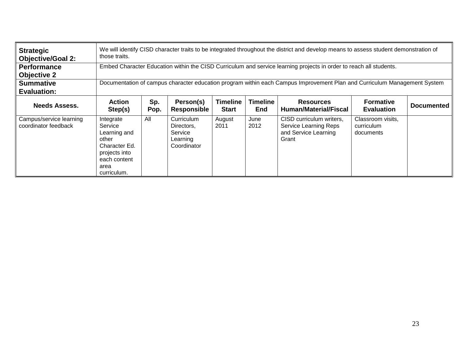| <b>Strategic</b><br><b>Objective/Goal 2:</b>    | those traits.                                                                                                          | We will identify CISD character traits to be integrated throughout the district and develop means to assess student demonstration of |                                                                |                          |                               |                                                                                    |                                              |                   |  |
|-------------------------------------------------|------------------------------------------------------------------------------------------------------------------------|--------------------------------------------------------------------------------------------------------------------------------------|----------------------------------------------------------------|--------------------------|-------------------------------|------------------------------------------------------------------------------------|----------------------------------------------|-------------------|--|
| <b>Performance</b><br><b>Objective 2</b>        |                                                                                                                        | Embed Character Education within the CISD Curriculum and service learning projects in order to reach all students.                   |                                                                |                          |                               |                                                                                    |                                              |                   |  |
| <b>Summative</b><br><b>Evaluation:</b>          |                                                                                                                        | Documentation of campus character education program within each Campus Improvement Plan and Curriculum Management System             |                                                                |                          |                               |                                                                                    |                                              |                   |  |
| <b>Needs Assess.</b>                            | <b>Action</b><br>Step(s)                                                                                               | Sp.<br>Pop.                                                                                                                          | Person(s)<br><b>Responsible</b>                                | Timeline<br><b>Start</b> | <b>Timeline</b><br><b>End</b> | <b>Resources</b><br>Human/Material/Fiscal                                          | <b>Formative</b><br><b>Evaluation</b>        | <b>Documented</b> |  |
| Campus/service learning<br>coordinator feedback | Integrate<br>Service<br>Learning and<br>other<br>Character Ed.<br>projects into<br>each content<br>area<br>curriculum. | All                                                                                                                                  | Curriculum<br>Directors.<br>Service<br>Learning<br>Coordinator | August<br>2011           | June<br>2012                  | CISD curriculum writers,<br>Service Learning Reps<br>and Service Learning<br>Grant | Classroom visits,<br>curriculum<br>documents |                   |  |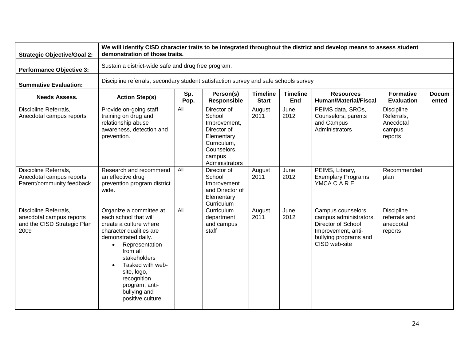| <b>Strategic Objective/Goal 2:</b>                                                       | We will identify CISD character traits to be integrated throughout the district and develop means to assess student<br>demonstration of those traits.                                                                                                                                            |                                                     |                                                                                                                              |                                 |                        |                                                                                                                                    |                                                                   |                       |  |  |
|------------------------------------------------------------------------------------------|--------------------------------------------------------------------------------------------------------------------------------------------------------------------------------------------------------------------------------------------------------------------------------------------------|-----------------------------------------------------|------------------------------------------------------------------------------------------------------------------------------|---------------------------------|------------------------|------------------------------------------------------------------------------------------------------------------------------------|-------------------------------------------------------------------|-----------------------|--|--|
| <b>Performance Objective 3:</b>                                                          |                                                                                                                                                                                                                                                                                                  | Sustain a district-wide safe and drug free program. |                                                                                                                              |                                 |                        |                                                                                                                                    |                                                                   |                       |  |  |
| <b>Summative Evaluation:</b>                                                             | Discipline referrals, secondary student satisfaction survey and safe schools survey                                                                                                                                                                                                              |                                                     |                                                                                                                              |                                 |                        |                                                                                                                                    |                                                                   |                       |  |  |
| <b>Needs Assess.</b>                                                                     | <b>Action Step(s)</b>                                                                                                                                                                                                                                                                            | Sp.<br>Pop.                                         | Person(s)<br><b>Responsible</b>                                                                                              | <b>Timeline</b><br><b>Start</b> | <b>Timeline</b><br>End | <b>Resources</b><br><b>Human/Material/Fiscal</b>                                                                                   | <b>Formative</b><br><b>Evaluation</b>                             | <b>Docum</b><br>ented |  |  |
| Discipline Referrals,<br>Anecdotal campus reports                                        | Provide on-going staff<br>training on drug and<br>relationship abuse<br>awareness, detection and<br>prevention.                                                                                                                                                                                  | All                                                 | Director of<br>School<br>Improvement,<br>Director of<br>Elementary<br>Curriculum,<br>Counselors,<br>campus<br>Administrators | August<br>2011                  | June<br>2012           | PEIMS data, SROs,<br>Counselors, parents<br>and Campus<br>Administrators                                                           | <b>Discipline</b><br>Referrals,<br>Anecdotal<br>campus<br>reports |                       |  |  |
| Discipline Referrals,<br>Anecdotal campus reports<br>Parent/community feedback           | Research and recommend<br>an effective drug<br>prevention program district<br>wide.                                                                                                                                                                                                              | All                                                 | Director of<br>School<br>Improvement<br>and Director of<br>Elementary<br>Curriculum                                          | August<br>2011                  | June<br>2012           | PEIMS, Library,<br><b>Exemplary Programs,</b><br>YMCA C.A.R.E                                                                      | Recommended<br>plan                                               |                       |  |  |
| Discipline Referrals,<br>anecdotal campus reports<br>and the CISD Strategic Plan<br>2009 | Organize a committee at<br>each school that will<br>create a culture where<br>character qualities are<br>demonstrated daily.<br>Representation<br>from all<br>stakeholders<br>Tasked with web-<br>$\bullet$<br>site, logo,<br>recognition<br>program, anti-<br>bullying and<br>positive culture. | All                                                 | Curriculum<br>department<br>and campus<br>staff                                                                              | August<br>2011                  | June<br>2012           | Campus counselors,<br>campus administrators,<br>Director of School<br>Improvement, anti-<br>bullying programs and<br>CISD web-site | <b>Discipline</b><br>referrals and<br>anecdotal<br>reports        |                       |  |  |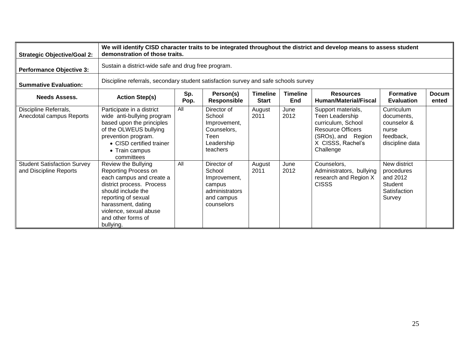| <b>Strategic Objective/Goal 2:</b>                           |                                                                                                                                                                                                                                      | We will identify CISD character traits to be integrated throughout the district and develop means to assess student<br>demonstration of those traits. |                                                                                               |                                 |                               |                                                                                                                                                 |                                                                                  |                       |  |  |
|--------------------------------------------------------------|--------------------------------------------------------------------------------------------------------------------------------------------------------------------------------------------------------------------------------------|-------------------------------------------------------------------------------------------------------------------------------------------------------|-----------------------------------------------------------------------------------------------|---------------------------------|-------------------------------|-------------------------------------------------------------------------------------------------------------------------------------------------|----------------------------------------------------------------------------------|-----------------------|--|--|
| <b>Performance Objective 3:</b>                              |                                                                                                                                                                                                                                      | Sustain a district-wide safe and drug free program.                                                                                                   |                                                                                               |                                 |                               |                                                                                                                                                 |                                                                                  |                       |  |  |
| <b>Summative Evaluation:</b>                                 |                                                                                                                                                                                                                                      | Discipline referrals, secondary student satisfaction survey and safe schools survey                                                                   |                                                                                               |                                 |                               |                                                                                                                                                 |                                                                                  |                       |  |  |
| <b>Needs Assess.</b>                                         | <b>Action Step(s)</b>                                                                                                                                                                                                                | Sp.<br>Pop.                                                                                                                                           | Person(s)<br><b>Responsible</b>                                                               | <b>Timeline</b><br><b>Start</b> | <b>Timeline</b><br><b>End</b> | <b>Resources</b><br><b>Human/Material/Fiscal</b>                                                                                                | <b>Formative</b><br><b>Evaluation</b>                                            | <b>Docum</b><br>ented |  |  |
| Discipline Referrals,<br>Anecdotal campus Reports            | Participate in a district<br>wide anti-bullying program<br>based upon the principles<br>of the OLWEUS bullying<br>prevention program.<br>• CISD certified trainer<br>• Train campus<br>committees                                    | All                                                                                                                                                   | Director of<br>School<br>Improvement,<br>Counselors,<br>Teen<br>Leadership<br>teachers        | August<br>2011                  | June<br>2012                  | Support materials,<br>Teen Leadership<br>curriculum, School<br><b>Resource Officers</b><br>(SROs), and Region<br>X CISSS, Rachel's<br>Challenge | Curriculum<br>documents.<br>counselor &<br>nurse<br>feedback,<br>discipline data |                       |  |  |
| <b>Student Satisfaction Survey</b><br>and Discipline Reports | Review the Bullying<br>Reporting Process on<br>each campus and create a<br>district process. Process<br>should include the<br>reporting of sexual<br>harassment, dating<br>violence, sexual abuse<br>and other forms of<br>bullying. | All                                                                                                                                                   | Director of<br>School<br>Improvement,<br>campus<br>administrators<br>and campus<br>counselors | August<br>2011                  | June<br>2012                  | Counselors,<br>Administrators, bullying<br>research and Region X<br><b>CISSS</b>                                                                | New district<br>procedures<br>and 2012<br>Student<br>Satisfaction<br>Survey      |                       |  |  |